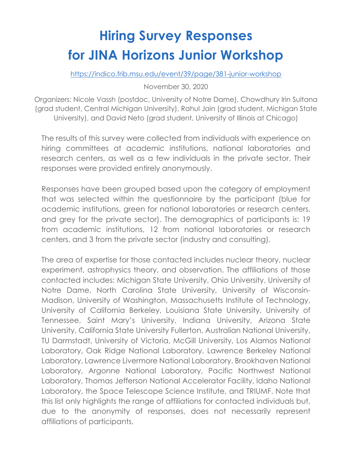# **Hiring Survey Responses for JINA Horizons Junior Workshop**

https://indico.frib.msu.edu/event/39/page/381-junior-workshop

November 30, 2020

Organizers: Nicole Vassh (postdoc, University of Notre Dame), Chowdhury Irin Sultana (grad student, Central Michigan University), Rahul Jain (grad student, Michigan State University), and David Neto (grad student, University of Illinois at Chicago)

The results of this survey were collected from individuals with experience on hiring committees at academic institutions, national laboratories and research centers, as well as a few individuals in the private sector. Their responses were provided entirely anonymously.

Responses have been grouped based upon the category of employment that was selected within the questionnaire by the participant (blue for academic institutions, green for national laboratories or research centers, and grey for the private sector). The demographics of participants is: 19 from academic institutions, 12 from national laboratories or research centers, and 3 from the private sector (industry and consulting).

The area of expertise for those contacted includes nuclear theory, nuclear experiment, astrophysics theory, and observation. The affiliations of those contacted includes: Michigan State University, Ohio University, University of Notre Dame, North Carolina State University, University of Wisconsin-Madison, University of Washington, Massachusetts Institute of Technology, University of California Berkeley, Louisiana State University, University of Tennessee, Saint Mary's University, Indiana University, Arizona State University, California State University Fullerton, Australian National University, TU Darmstadt, University of Victoria, McGill University, Los Alamos National Laboratory, Oak Ridge National Laboratory, Lawrence Berkeley National Laboratory, Lawrence Livermore National Laboratory, Brookhaven National Laboratory, Argonne National Laboratory, Pacific Northwest National Laboratory, Thomas Jefferson National Accelerator Facility, Idaho National Laboratory, the Space Telescope Science Institute, and TRIUMF. Note that this list only highlights the range of affiliations for contacted individuals but, due to the anonymity of responses, does not necessarily represent affiliations of participants.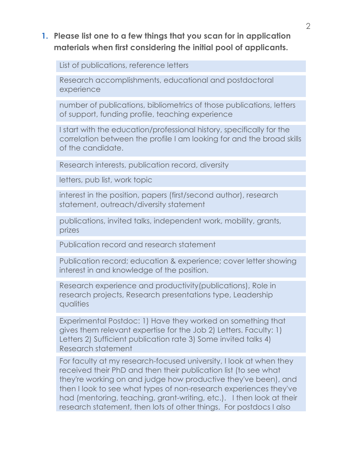#### **1. Please list one to a few things that you scan for in application materials when first considering the initial pool of applicants.**

List of publications, reference letters

Research accomplishments, educational and postdoctoral experience

number of publications, bibliometrics of those publications, letters of support, funding profile, teaching experience

I start with the education/professional history, specifically for the correlation between the profile I am looking for and the broad skills of the candidate.

Research interests, publication record, diversity

letters, pub list, work topic

interest in the position, papers (first/second author), research statement, outreach/diversity statement

publications, invited talks, independent work, mobility, grants, prizes

Publication record and research statement

Publication record; education & experience; cover letter showing interest in and knowledge of the position.

Research experience and productivity(publications), Role in research projects, Research presentations type, Leadership qualities

Experimental Postdoc: 1) Have they worked on something that gives them relevant expertise for the Job 2) Letters. Faculty: 1) Letters 2) Sufficient publication rate 3) Some invited talks 4) Research statement

For faculty at my research-focused university, I look at when they received their PhD and then their publication list (to see what they're working on and judge how productive they've been), and then I look to see what types of non-research experiences they've had (mentoring, teaching, grant-writing, etc.). I then look at their research statement, then lots of other things. For postdocs I also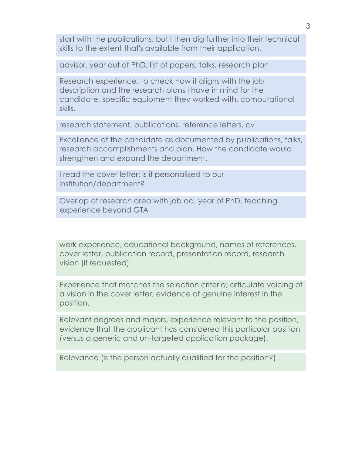start with the publications, but I then dig further into their technical skills to the extent that's available from their application.

advisor, year out of PhD, list of papers, talks, research plan

Research experience, to check how it aligns with the job description and the research plans I have in mind for the candidate, specific equipment they worked with, computational skills.

research statement, publications, reference letters, cv

Excellence of the candidate as documented by publications, talks, research accomplishments and plan. How the candidate would strengthen and expand the department.

I read the cover letter: is it personalized to our institution/department?

Overlap of research area with job ad, year of PhD, teaching experience beyond GTA

work experience, educational background, names of references, cover letter, publication record, presentation record, research vision (if requested)

Experience that matches the selection criteria; articulate voicing of a vision in the cover letter; evidence of genuine interest in the position.

Relevant degrees and majors, experience relevant to the position, evidence that the applicant has considered this particular position (versus a generic and un-targeted application package).

Relevance (is the person actually qualified for the position?)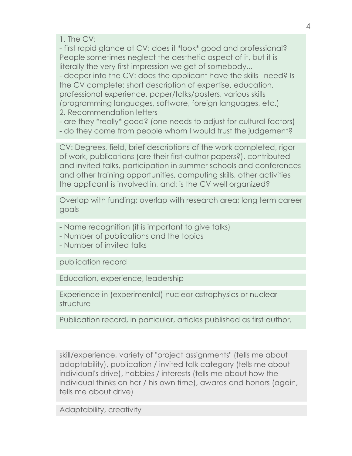1. The CV:

- first rapid glance at CV: does it \*look\* good and professional? People sometimes neglect the aesthetic aspect of it, but it is literally the very first impression we get of somebody... - deeper into the CV: does the applicant have the skills I need? Is

the CV complete: short description of expertise, education, professional experience, paper/talks/posters, various skills (programming languages, software, foreign languages, etc.) 2. Recommendation letters

- are they \*really\* good? (one needs to adjust for cultural factors)

- do they come from people whom I would trust the judgement?

CV: Degrees, field, brief descriptions of the work completed, rigor of work, publications (are their first-author papers?), contributed and invited talks, participation in summer schools and conferences and other training opportunities, computing skills, other activities the applicant is involved in, and: is the CV well organized?

Overlap with funding; overlap with research area; long term career goals

- Name recognition (it is important to give talks)
- Number of publications and the topics
- Number of invited talks

publication record

Education, experience, leadership

Experience in (experimental) nuclear astrophysics or nuclear structure

Publication record, in particular, articles published as first author.

skill/experience, variety of "project assignments" (tells me about adaptability), publication / invited talk category (tells me about individual's drive), hobbies / interests (tells me about how the individual thinks on her / his own time), awards and honors (again, tells me about drive)

Adaptability, creativity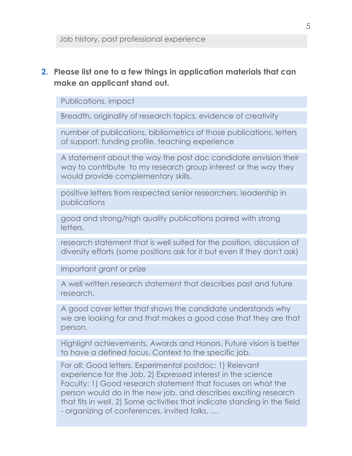#### **2. Please list one to a few things in application materials that can make an applicant stand out.**

Publications, impact

Breadth, originality of research topics, evidence of creativity

number of publications, bibliometrics of those publications, letters of support, funding profile, teaching experience

A statement about the way the post doc candidate envision their way to contribute to my research group interest or the way they would provide complementary skills.

positive letters from respected senior researchers, leadership in publications

good and strong/high quality publications paired with strong letters.

research statement that is well suited for the position, discussion of diversity efforts (some positions ask for it but even if they don't ask)

important grant or prize

A well written research statement that describes past and future research.

A good cover letter that shows the candidate understands why we are looking for and that makes a good case that they are that person.

Highlight achievements, Awards and Honors, Future vision is better to have a defined focus. Context to the specific job.

For all: Good letters. Experimental postdoc: 1) Relevant experience for the Job, 2) Expressed interest in the science Faculty: 1) Good research statement that focuses on what the person would do in the new job, and describes exciting research that fits in well. 2) Some activities that indicate standing in the field - organizing of conferences, invited talks, ....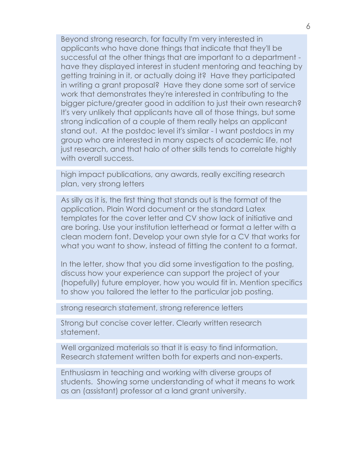Beyond strong research, for faculty I'm very interested in applicants who have done things that indicate that they'll be successful at the other things that are important to a department have they displayed interest in student mentoring and teaching by getting training in it, or actually doing it? Have they participated in writing a grant proposal? Have they done some sort of service work that demonstrates they're interested in contributing to the bigger picture/greater good in addition to just their own research? It's very unlikely that applicants have all of those things, but some strong indication of a couple of them really helps an applicant stand out. At the postdoc level it's similar - I want postdocs in my group who are interested in many aspects of academic life, not just research, and that halo of other skills tends to correlate highly with overall success.

high impact publications, any awards, really exciting research plan, very strong letters

As silly as it is, the first thing that stands out is the format of the application. Plain Word document or the standard Latex templates for the cover letter and CV show lack of initiative and are boring. Use your institution letterhead or format a letter with a clean modern font. Develop your own style for a CV that works for what you want to show, instead of fitting the content to a format.

In the letter, show that you did some investigation to the posting, discuss how your experience can support the project of your (hopefully) future employer, how you would fit in. Mention specifics to show you tailored the letter to the particular job posting.

strong research statement, strong reference letters

Strong but concise cover letter. Clearly written research statement.

Well organized materials so that it is easy to find information. Research statement written both for experts and non-experts.

Enthusiasm in teaching and working with diverse groups of students. Showing some understanding of what it means to work as an (assistant) professor at a land grant university.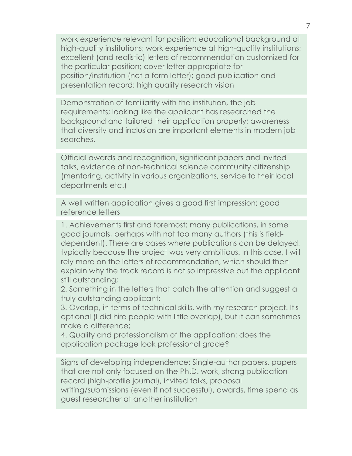work experience relevant for position; educational background at high-quality institutions; work experience at high-quality institutions; excellent (and realistic) letters of recommendation customized for the particular position; cover letter appropriate for position/institution (not a form letter); good publication and presentation record; high quality research vision

Demonstration of familiarity with the institution, the job requirements; looking like the applicant has researched the background and tailored their application properly; awareness that diversity and inclusion are important elements in modern job searches.

Official awards and recognition, significant papers and invited talks, evidence of non-technical science community citizenship (mentoring, activity in various organizations, service to their local departments etc.)

A well written application gives a good first impression; good reference letters

1. Achievements first and foremost: many publications, in some good journals, perhaps with not too many authors (this is fielddependent). There are cases where publications can be delayed, typically because the project was very ambitious. In this case, I will rely more on the letters of recommendation, which should then explain why the track record is not so impressive but the applicant still outstanding;

2. Something in the letters that catch the attention and suggest a truly outstanding applicant;

3. Overlap, in terms of technical skills, with my research project. It's optional (I did hire people with little overlap), but it can sometimes make a difference;

4. Quality and professionalism of the application: does the application package look professional grade?

Signs of developing independence: Single-author papers, papers that are not only focused on the Ph.D. work, strong publication record (high-profile journal), invited talks, proposal writing/submissions (even if not successful), awards, time spend as guest researcher at another institution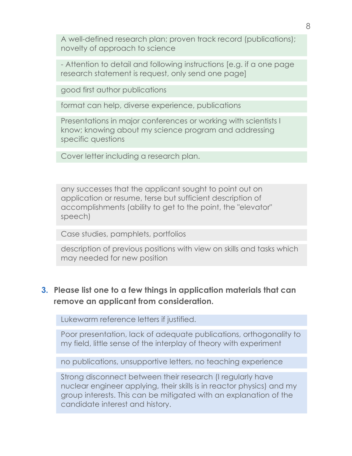A well-defined research plan; proven track record (publications); novelty of approach to science

- Attention to detail and following instructions [e.g. if a one page research statement is request, only send one page]

good first author publications

format can help, diverse experience, publications

Presentations in major conferences or working with scientists I know; knowing about my science program and addressing specific questions

Cover letter including a research plan.

any successes that the applicant sought to point out on application or resume, terse but sufficient description of accomplishments (ability to get to the point, the "elevator" speech)

Case studies, pamphlets, portfolios

description of previous positions with view on skills and tasks which may needed for new position

### **3. Please list one to a few things in application materials that can remove an applicant from consideration.**

Lukewarm reference letters if justified.

Poor presentation, lack of adequate publications, orthogonality to my field, little sense of the interplay of theory with experiment

no publications, unsupportive letters, no teaching experience

Strong disconnect between their research (I regularly have nuclear engineer applying, their skills is in reactor physics) and my group interests. This can be mitigated with an explanation of the candidate interest and history.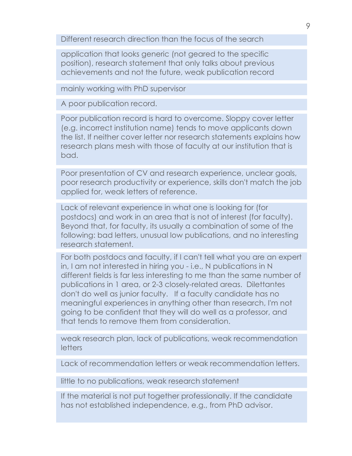Different research direction than the focus of the search

application that looks generic (not geared to the specific position), research statement that only talks about previous achievements and not the future, weak publication record

mainly working with PhD supervisor

A poor publication record.

Poor publication record is hard to overcome. Sloppy cover letter (e.g. incorrect institution name) tends to move applicants down the list. If neither cover letter nor research statements explains how research plans mesh with those of faculty at our institution that is bad.

Poor presentation of CV and research experience, unclear goals, poor research productivity or experience, skills don't match the job applied for, weak letters of reference.

Lack of relevant experience in what one is looking for (for postdocs) and work in an area that is not of interest (for faculty). Beyond that, for faculty, its usually a combination of some of the following: bad letters, unusual low publications, and no interesting research statement.

For both postdocs and faculty, if I can't tell what you are an expert in, I am not interested in hiring you - i.e., N publications in N different fields is far less interesting to me than the same number of publications in 1 area, or 2-3 closely-related areas. Dilettantes don't do well as junior faculty. If a faculty candidate has no meaningful experiences in anything other than research, I'm not going to be confident that they will do well as a professor, and that tends to remove them from consideration.

weak research plan, lack of publications, weak recommendation letters

Lack of recommendation letters or weak recommendation letters.

little to no publications, weak research statement

If the material is not put together professionally. If the candidate has not established independence, e.g., from PhD advisor.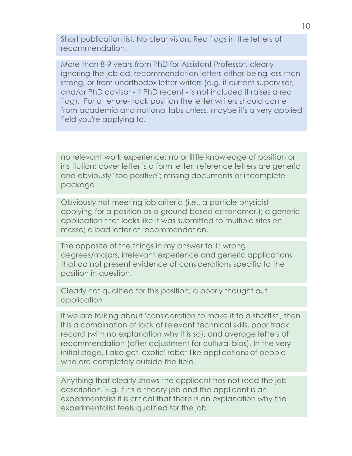Short publication list. No clear vision. Red flags in the letters of recommendation.

More than 8-9 years from PhD for Assistant Professor, clearly ignoring the job ad, recommendation letters either being less than strong, or from unorthodox letter writers (e.g. if current supervisor, and/or PhD advisor - if PhD recent - is not included it raises a red flag). For a tenure-track position the letter writers should come from academia and national labs unless, maybe it's a very applied field you're applying to.

no relevant work experience; no or little knowledge of position or institution; cover letter is a form letter; reference letters are generic and obviously "too positive"; missing documents or incomplete package

Obviously not meeting job criteria (i.e., a particle physicist applying for a position as a ground-based astronomer.); a generic application that looks like it was submitted to multiple sites en masse; a bad letter of recommendation.

The opposite of the things in my answer to 1: wrong degrees/majors, irrelevant experience and generic applications that do not present evidence of considerations specific to the position in question.

Clearly not qualified for this position; a poorly thought out application

If we are talking about 'consideration to make it to a shortlist', then it is a combination of lack of relevant technical skills, poor track record (with no explanation why it is so), and average letters of recommendation (after adjustment for cultural bias). In the very initial stage, I also get 'exotic' robot-like applications of people who are completely outside the field.

Anything that clearly shows the applicant has not read the job description. E.g. if it's a theory job and the applicant is an experimentalist it is critical that there is an explanation why the experimentalist feels qualified for the job.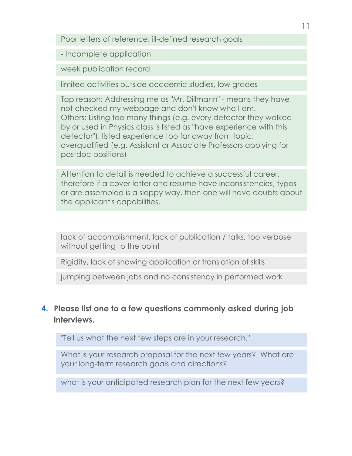Poor letters of reference; ill-defined research goals

- Incomplete application

week publication record

limited activities outside academic studies, low grades

Top reason: Addressing me as "Mr. Dillmann" - means they have not checked my webpage and don't know who I am. Others: Listing too many things (e.g. every detector they walked by or used in Physics class is listed as "have experience with this detector"); listed experience too far away from topic; overqualified (e.g. Assistant or Associate Professors applying for postdoc positions)

Attention to detail is needed to achieve a successful career, therefore if a cover letter and resume have inconsistencies, typos or are assembled is a sloppy way, then one will have doubts about the applicant's capabilities.

lack of accomplishment, lack of publication / talks, too verbose without getting to the point

Rigidity, lack of showing application or translation of skills

jumping between jobs and no consistency in performed work

# **4. Please list one to a few questions commonly asked during job interviews.**

"Tell us what the next few steps are in your research."

What is your research proposal for the next few years? What are your long-term research goals and directions?

what is your anticipated research plan for the next few years?

11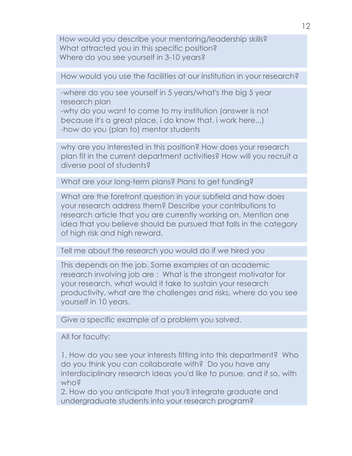How would you describe your mentoring/leadership skills? What attracted you in this specific position? Where do you see yourself in 3-10 years?

How would you use the facilities at our institution in your research?

-where do you see yourself in 5 years/what's the big 5 year research plan -why do you want to come to my institution (answer is not because it's a great place, i do know that. i work here...) -how do you (plan to) mentor students

why are you interested in this position? How does your research plan fit in the current department activities? How will you recruit a diverse pool of students?

What are your long-term plans? Plans to get funding?

What are the forefront question in your subfield and how does your research address them? Describe your contributions to research article that you are currently working on. Mention one idea that you believe should be pursued that falls in the category of high risk and high reward.

Tell me about the research you would do if we hired you

This depends on the job. Some examples of an academic research involving job are : What is the strongest motivator for your research, what would it take to sustain your research productivity, what are the challenges and risks, where do you see yourself in 10 years.

Give a specific example of a problem you solved.

All for faculty:

1. How do you see your interests fitting into this department? Who do you think you can collaborate with? Do you have any interdisciplinary research ideas you'd like to pursue, and if so, with who?

2. How do you anticipate that you'll integrate graduate and undergraduate students into your research program?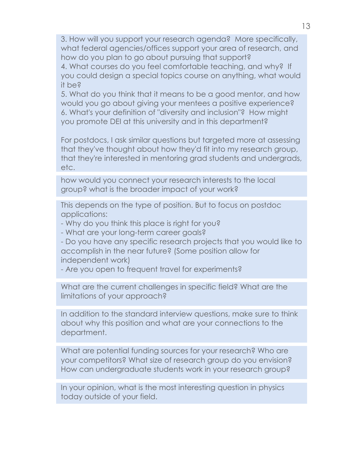3. How will you support your research agenda? More specifically, what federal agencies/offices support your area of research, and how do you plan to go about pursuing that support? 4. What courses do you feel comfortable teaching, and why? If

you could design a special topics course on anything, what would it be?

5. What do you think that it means to be a good mentor, and how would you go about giving your mentees a positive experience? 6. What's your definition of "diversity and inclusion"? How might you promote DEI at this university and in this department?

For postdocs, I ask similar questions but targeted more at assessing that they've thought about how they'd fit into my research group, that they're interested in mentoring grad students and undergrads, etc.

how would you connect your research interests to the local group? what is the broader impact of your work?

This depends on the type of position. But to focus on postdoc applications:

- Why do you think this place is right for you?

- What are your long-term career goals?

- Do you have any specific research projects that you would like to accomplish in the near future? (Some position allow for independent work)

- Are you open to frequent travel for experiments?

What are the current challenges in specific field? What are the limitations of your approach?

In addition to the standard interview questions, make sure to think about why this position and what are your connections to the department.

What are potential funding sources for your research? Who are your competitors? What size of research group do you envision? How can undergraduate students work in your research group?

In your opinion, what is the most interesting question in physics today outside of your field.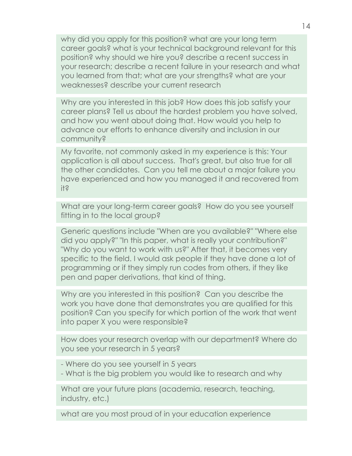why did you apply for this position? what are your long term career goals? what is your technical background relevant for this position? why should we hire you? describe a recent success in your research; describe a recent failure in your research and what you learned from that; what are your strengths? what are your weaknesses? describe your current research

Why are you interested in this job? How does this job satisfy your career plans? Tell us about the hardest problem you have solved, and how you went about doing that. How would you help to advance our efforts to enhance diversity and inclusion in our community?

My favorite, not commonly asked in my experience is this: Your application is all about success. That's great, but also true for all the other candidates. Can you tell me about a major failure you have experienced and how you managed it and recovered from it?

What are your long-term career goals? How do you see yourself fitting in to the local group?

Generic questions include "When are you available?" "Where else did you apply?" "In this paper, what is really your contribution?" "Why do you want to work with us?" After that, it becomes very specific to the field. I would ask people if they have done a lot of programming or if they simply run codes from others, if they like pen and paper derivations, that kind of thing.

Why are you interested in this position? Can you describe the work you have done that demonstrates you are qualified for this position? Can you specify for which portion of the work that went into paper X you were responsible?

How does your research overlap with our department? Where do you see your research in 5 years?

- Where do you see yourself in 5 years

- What is the big problem you would like to research and why

What are your future plans (academia, research, teaching, industry, etc.)

what are you most proud of in your education experience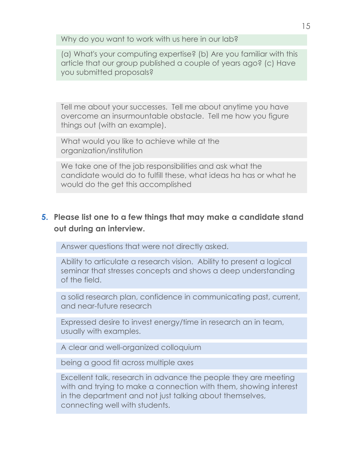Why do you want to work with us here in our lab?

(a) What's your computing expertise? (b) Are you familiar with this article that our group published a couple of years ago? (c) Have you submitted proposals?

Tell me about your successes. Tell me about anytime you have overcome an insurmountable obstacle. Tell me how you figure things out (with an example).

What would you like to achieve while at the organization/institution

We take one of the job responsibilities and ask what the candidate would do to fulfill these, what ideas ha has or what he would do the get this accomplished

# **5. Please list one to a few things that may make a candidate stand out during an interview.**

Answer questions that were not directly asked.

Ability to articulate a research vision. Ability to present a logical seminar that stresses concepts and shows a deep understanding of the field.

a solid research plan, confidence in communicating past, current, and near-future research

Expressed desire to invest energy/time in research an in team, usually with examples.

A clear and well-organized colloquium

being a good fit across multiple axes

Excellent talk, research in advance the people they are meeting with and trying to make a connection with them, showing interest in the department and not just talking about themselves, connecting well with students.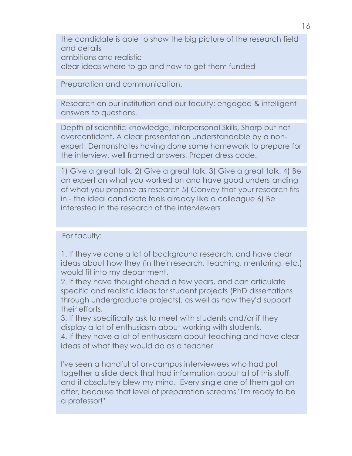the candidate is able to show the big picture of the research field and details ambitions and realistic clear ideas where to go and how to get them funded

Preparation and communication.

Research on our institution and our faculty; engaged & intelligent answers to questions.

Depth of scientific knowledge, Interpersonal Skills, Sharp but not overconfident, A clear presentation understandable by a nonexpert, Demonstrates having done some homework to prepare for the interview, well framed answers, Proper dress code.

1) Give a great talk. 2) Give a great talk. 3) Give a great talk. 4) Be an expert on what you worked on and have good understanding of what you propose as research 5) Convey that your research fits in - the ideal candidate feels already like a colleague 6) Be interested in the research of the interviewers

For faculty:

1. If they've done a lot of background research, and have clear ideas about how they (in their research, teaching, mentoring, etc.) would fit into my department.

2. If they have thought ahead a few years, and can articulate specific and realistic ideas for student projects (PhD dissertations through undergraduate projects), as well as how they'd support their efforts.

3. If they specifically ask to meet with students and/or if they display a lot of enthusiasm about working with students.

4. If they have a lot of enthusiasm about teaching and have clear ideas of what they would do as a teacher.

I've seen a handful of on-campus interviewees who had put together a slide deck that had information about all of this stuff, and it absolutely blew my mind. Every single one of them got an offer, because that level of preparation screams "I'm ready to be a professor!"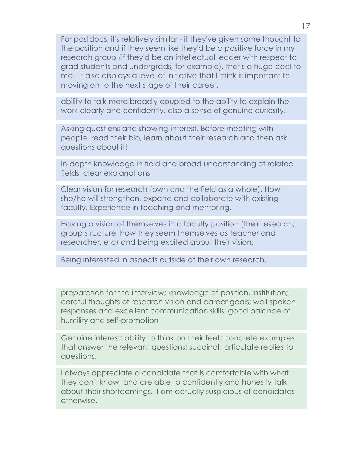For postdocs, it's relatively similar - if they've given some thought to the position and if they seem like they'd be a positive force in my research group (if they'd be an intellectual leader with respect to grad students and undergrads, for example), that's a huge deal to me. It also displays a level of initiative that I think is important to moving on to the next stage of their career.

ability to talk more broadly coupled to the ability to explain the work clearly and confidently. also a sense of genuine curiosity.

Asking questions and showing interest. Before meeting with people, read their bio, learn about their research and then ask questions about it!

In-depth knowledge in field and broad understanding of related fields, clear explanations

Clear vision for research (own and the field as a whole). How she/he will strengthen, expand and collaborate with existing faculty. Experience in teaching and mentoring.

Having a vision of themselves in a faculty position (their research, group structure, how they seem themselves as teacher and researcher, etc) and being excited about their vision.

Being interested in aspects outside of their own research.

preparation for the interview; knowledge of position, institution; careful thoughts of research vision and career goals; well-spoken responses and excellent communication skills; good balance of humility and self-promotion

Genuine interest; ability to think on their feet; concrete examples that answer the relevant questions; succinct, articulate replies to questions.

I always appreciate a candidate that is comfortable with what they don't know, and are able to confidently and honestly talk about their shortcomings. I am actually suspicious of candidates otherwise.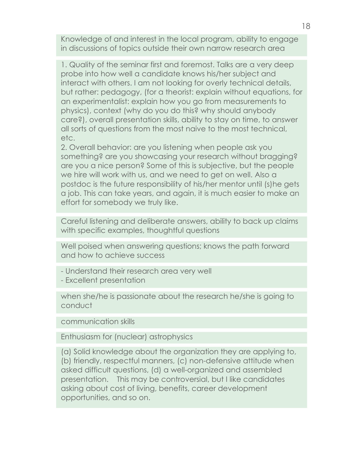Knowledge of and interest in the local program, ability to engage in discussions of topics outside their own narrow research area

1. Quality of the seminar first and foremost. Talks are a very deep probe into how well a candidate knows his/her subject and interact with others. I am not looking for overly technical details, but rather: pedagogy, (for a theorist: explain without equations, for an experimentalist: explain how you go from measurements to physics), context (why do you do this? why should anybody care?), overall presentation skills, ability to stay on time, to answer all sorts of questions from the most naive to the most technical, etc.

2. Overall behavior: are you listening when people ask you something? are you showcasing your research without bragging? are you a nice person? Some of this is subjective, but the people we hire will work with us, and we need to get on well. Also a postdoc is the future responsibility of his/her mentor until (s)he gets a job. This can take years, and again, it is much easier to make an effort for somebody we truly like.

Careful listening and deliberate answers, ability to back up claims with specific examples, thoughtful questions

Well poised when answering questions; knows the path forward and how to achieve success

- Understand their research area very well
- Excellent presentation

when she/he is passionate about the research he/she is going to conduct

communication skills

Enthusiasm for (nuclear) astrophysics

(a) Solid knowledge about the organization they are applying to, (b) friendly, respectful manners, (c) non-defensive attitude when asked difficult questions, (d) a well-organized and assembled presentation. This may be controversial, but I like candidates asking about cost of living, benefits, career development opportunities, and so on.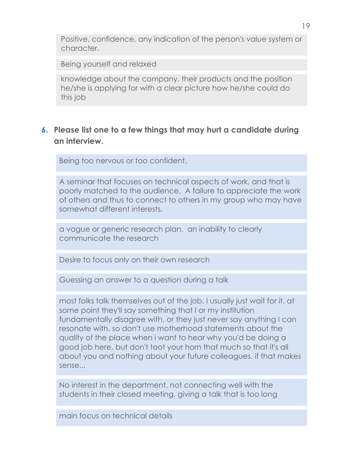Positive, confidence, any indication of the person's value system or character.

Being yourself and relaxed

knowledge about the company, their products and the position he/she is applying for with a clear picture how he/she could do this job

#### **6. Please list one to a few things that may hurt a candidate during an interview.**

Being too nervous or too confident.

A seminar that focuses on technical aspects of work, and that is poorly matched to the audience. A failure to appreciate the work of others and thus to connect to others in my group who may have somewhat different interests.

a vague or generic research plan, an inability to clearly communicate the research

Desire to focus only on their own research

Guessing an answer to a question during a talk

most folks talk themselves out of the job. I usually just wait for it. at some point they'll say something that I or my institution fundamentally disagree with, or they just never say anything I can resonate with. so don't use motherhood statements about the quality of the place when i want to hear why you'd be doing a good job here, but don't toot your horn that much so that it's all about you and nothing about your future colleagues. if that makes sense...

No interest in the department, not connecting well with the students in their closed meeting, giving a talk that is too long

main focus on technical details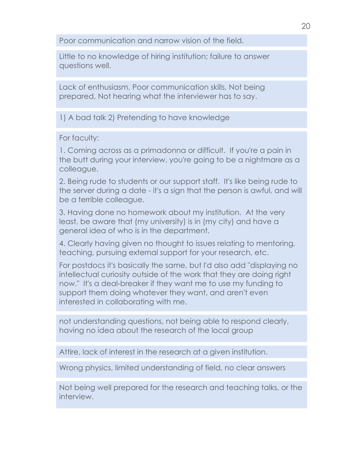Poor communication and narrow vision of the field.

Little to no knowledge of hiring institution; failure to answer questions well.

Lack of enthusiasm, Poor communication skills, Not being prepared, Not hearing what the interviewer has to say.

1) A bad talk 2) Pretending to have knowledge

For faculty:

1. Coming across as a primadonna or difficult. If you're a pain in the butt during your interview, you're going to be a nightmare as a colleague.

2. Being rude to students or our support staff. It's like being rude to the server during a date - it's a sign that the person is awful, and will be a terrible colleague.

3. Having done no homework about my institution. At the very least, be aware that (my university) is in (my city) and have a general idea of who is in the department.

4. Clearly having given no thought to issues relating to mentoring, teaching, pursuing external support for your research, etc.

For postdocs it's basically the same, but I'd also add "displaying no intellectual curiosity outside of the work that they are doing right now." It's a deal-breaker if they want me to use my funding to support them doing whatever they want, and aren't even interested in collaborating with me.

not understanding questions, not being able to respond clearly, having no idea about the research of the local group

Attire, lack of interest in the research at a given institution.

Wrong physics, limited understanding of field, no clear answers

Not being well prepared for the research and teaching talks, or the interview.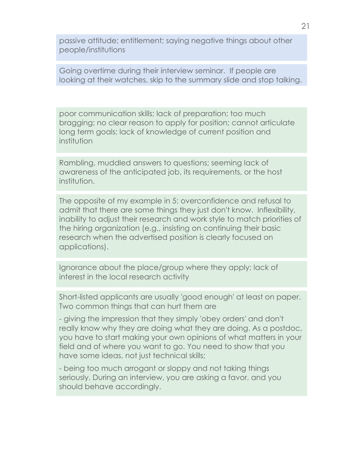passive attitude; entitlement; saying negative things about other people/institutions

Going overtime during their interview seminar. If people are looking at their watches, skip to the summary slide and stop talking.

poor communication skills; lack of preparation; too much bragging; no clear reason to apply for position; cannot articulate long term goals; lack of knowledge of current position and institution

Rambling, muddled answers to questions; seeming lack of awareness of the anticipated job, its requirements, or the host institution.

The opposite of my example in 5: overconfidence and refusal to admit that there are some things they just don't know. Inflexibility, inability to adjust their research and work style to match priorities of the hiring organization (e.g., insisting on continuing their basic research when the advertised position is clearly focused on applications).

Ignorance about the place/group where they apply; lack of interest in the local research activity

Short-listed applicants are usually 'good enough' at least on paper. Two common things that can hurt them are

- giving the impression that they simply 'obey orders' and don't really know why they are doing what they are doing. As a postdoc, you have to start making your own opinions of what matters in your field and of where you want to go. You need to show that you have some ideas, not just technical skills;

- being too much arrogant or sloppy and not taking things seriously. During an interview, you are asking a favor, and you should behave accordingly.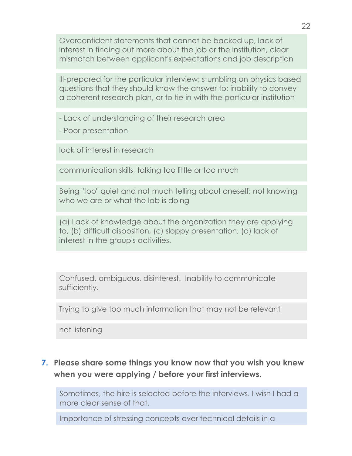Overconfident statements that cannot be backed up, lack of interest in finding out more about the job or the institution, clear mismatch between applicant's expectations and job description

Ill-prepared for the particular interview; stumbling on physics based questions that they should know the answer to; inability to convey a coherent research plan, or to tie in with the particular institution

- Lack of understanding of their research area

- Poor presentation

lack of interest in research

communication skills, talking too little or too much

Being "too" quiet and not much telling about oneself; not knowing who we are or what the lab is doing

(a) Lack of knowledge about the organization they are applying to, (b) difficult disposition, (c) sloppy presentation, (d) lack of interest in the group's activities.

Confused, ambiguous, disinterest. Inability to communicate sufficiently.

Trying to give too much information that may not be relevant

not listening

# **7. Please share some things you know now that you wish you knew when you were applying / before your first interviews.**

Sometimes, the hire is selected before the interviews. I wish I had a more clear sense of that.

Importance of stressing concepts over technical details in a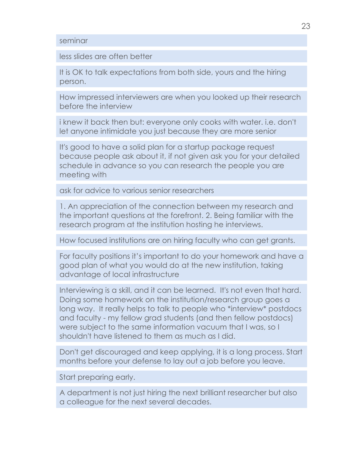#### seminar

less slides are often better

It is OK to talk expectations from both side, yours and the hiring person.

How impressed interviewers are when you looked up their research before the interview

i knew it back then but: everyone only cooks with water. i.e. don't let anyone intimidate you just because they are more senior

It's good to have a solid plan for a startup package request because people ask about it, if not given ask you for your detailed schedule in advance so you can research the people you are meeting with

ask for advice to various senior researchers

1. An appreciation of the connection between my research and the important questions at the forefront. 2. Being familiar with the research program at the institution hosting he interviews.

How focused institutions are on hiring faculty who can get grants.

For faculty positions it's important to do your homework and have a good plan of what you would do at the new institution, taking advantage of local infrastructure

Interviewing is a skill, and it can be learned. It's not even that hard. Doing some homework on the institution/research group goes a long way. It really helps to talk to people who \*interview\* postdocs and faculty - my fellow grad students (and then fellow postdocs) were subject to the same information vacuum that I was, so I shouldn't have listened to them as much as I did.

Don't get discouraged and keep applying, it is a long process. Start months before your defense to lay out a job before you leave.

Start preparing early.

A department is not just hiring the next brilliant researcher but also a colleague for the next several decades.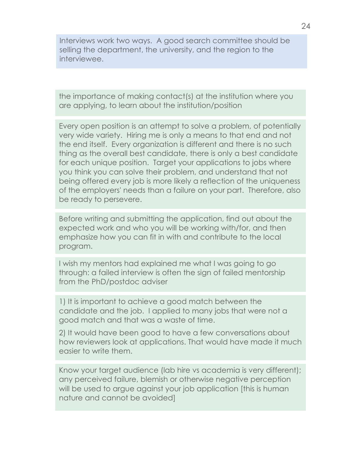Interviews work two ways. A good search committee should be selling the department, the university, and the region to the interviewee.

the importance of making contact(s) at the institution where you are applying, to learn about the institution/position

Every open position is an attempt to solve a problem, of potentially very wide variety. Hiring me is only a means to that end and not the end itself. Every organization is different and there is no such thing as the overall best candidate, there is only a best candidate for each unique position. Target your applications to jobs where you think you can solve their problem, and understand that not being offered every job is more likely a reflection of the uniqueness of the employers' needs than a failure on your part. Therefore, also be ready to persevere.

Before writing and submitting the application, find out about the expected work and who you will be working with/for, and then emphasize how you can fit in with and contribute to the local program.

I wish my mentors had explained me what I was going to go through: a failed interview is often the sign of failed mentorship from the PhD/postdoc adviser

1) It is important to achieve a good match between the candidate and the job. I applied to many jobs that were not a good match and that was a waste of time.

2) It would have been good to have a few conversations about how reviewers look at applications. That would have made it much easier to write them.

Know your target audience (lab hire vs academia is very different); any perceived failure, blemish or otherwise negative perception will be used to argue against your job application [this is human] nature and cannot be avoided]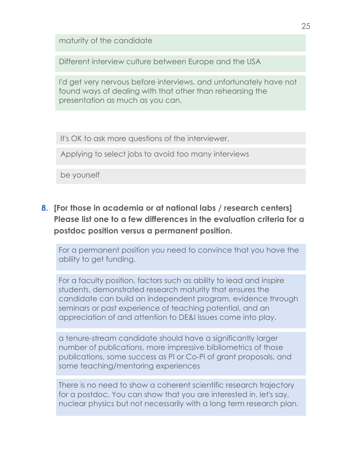maturity of the candidate

Different interview culture between Europe and the USA

I'd get very nervous before interviews, and unfortunately have not found ways of dealing with that other than rehearsing the presentation as much as you can.

It's OK to ask more questions of the interviewer.

Applying to select jobs to avoid too many interviews

be yourself

**8. [For those in academia or at national labs / research centers] Please list one to a few differences in the evaluation criteria for a postdoc position versus a permanent position.**

For a permanent position you need to convince that you have the ability to get funding.

For a faculty position, factors such as ability to lead and inspire students, demonstrated research maturity that ensures the candidate can build an independent program, evidence through seminars or past experience of teaching potential, and an appreciation of and attention to DE&I issues come into play.

a tenure-stream candidate should have a significantly larger number of publications, more impressive bibliometrics of those publications, some success as PI or Co-Pi of grant proposals, and some teaching/mentoring experiences

There is no need to show a coherent scientific research trajectory for a postdoc. You can show that you are interested in, let's say, nuclear physics but not necessarily with a long term research plan.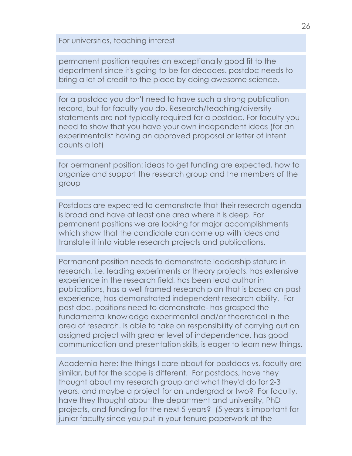For universities, teaching interest

permanent position requires an exceptionally good fit to the department since it's going to be for decades. postdoc needs to bring a lot of credit to the place by doing awesome science.

for a postdoc you don't need to have such a strong publication record, but for faculty you do. Research/teaching/diversity statements are not typically required for a postdoc. For faculty you need to show that you have your own independent ideas (for an experimentalist having an approved proposal or letter of intent counts a lot)

for permanent position: ideas to get funding are expected, how to organize and support the research group and the members of the group

Postdocs are expected to demonstrate that their research agenda is broad and have at least one area where it is deep. For permanent positions we are looking for major accomplishments which show that the candidate can come up with ideas and translate it into viable research projects and publications.

Permanent position needs to demonstrate leadership stature in research, i.e. leading experiments or theory projects, has extensive experience in the research field, has been lead author in publications, has a well framed research plan that is based on past experience, has demonstrated independent research ability. For post doc. positions need to demonstrate- has grasped the fundamental knowledge experimental and/or theoretical in the area of research. Is able to take on responsibility of carrying out an assigned project with greater level of independence, has good communication and presentation skills, is eager to learn new things.

Academia here: the things I care about for postdocs vs. faculty are similar, but for the scope is different. For postdocs, have they thought about my research group and what they'd do for 2-3 years, and maybe a project for an undergrad or two? For faculty, have they thought about the department and university, PhD projects, and funding for the next 5 years? (5 years is important for junior faculty since you put in your tenure paperwork at the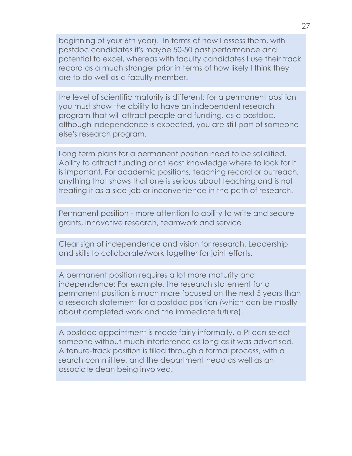beginning of your 6th year). In terms of how I assess them, with postdoc candidates it's maybe 50-50 past performance and potential to excel, whereas with faculty candidates I use their track record as a much stronger prior in terms of how likely I think they are to do well as a faculty member.

the level of scientific maturity is different: for a permanent position you must show the ability to have an independent research program that will attract people and funding. as a postdoc, although independence is expected, you are still part of someone else's research program.

Long term plans for a permanent position need to be solidified. Ability to attract funding or at least knowledge where to look for it is important. For academic positions, teaching record or outreach, anything that shows that one is serious about teaching and is not treating it as a side-job or inconvenience in the path of research.

Permanent position - more attention to ability to write and secure grants, innovative research, teamwork and service

Clear sign of independence and vision for research. Leadership and skills to collaborate/work together for joint efforts.

A permanent position requires a lot more maturity and independence: For example, the research statement for a permanent position is much more focused on the next 5 years than a research statement for a postdoc position (which can be mostly about completed work and the immediate future).

A postdoc appointment is made fairly informally, a PI can select someone without much interference as long as it was advertised. A tenure-track position is filled through a formal process, with a search committee, and the department head as well as an associate dean being involved.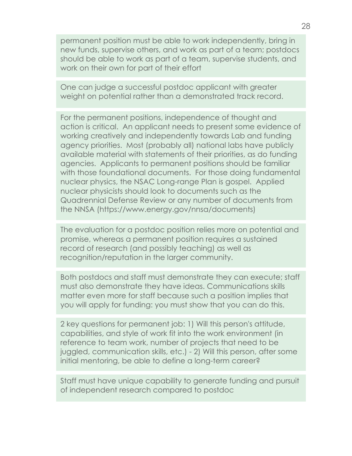permanent position must be able to work independently, bring in new funds, supervise others, and work as part of a team; postdocs should be able to work as part of a team, supervise students, and work on their own for part of their effort

One can judge a successful postdoc applicant with greater weight on potential rather than a demonstrated track record.

For the permanent positions, independence of thought and action is critical. An applicant needs to present some evidence of working creatively and independently towards Lab and funding agency priorities. Most (probably all) national labs have publicly available material with statements of their priorities, as do funding agencies. Applicants to permanent positions should be familiar with those foundational documents. For those doing fundamental nuclear physics, the NSAC Long-range Plan is gospel. Applied nuclear physicists should look to documents such as the Quadrennial Defense Review or any number of documents from the NNSA (https://www.energy.gov/nnsa/documents)

The evaluation for a postdoc position relies more on potential and promise, whereas a permanent position requires a sustained record of research (and possibly teaching) as well as recognition/reputation in the larger community.

Both postdocs and staff must demonstrate they can execute; staff must also demonstrate they have ideas. Communications skills matter even more for staff because such a position implies that you will apply for funding: you must show that you can do this.

2 key questions for permanent job: 1) Will this person's attitude, capabilities, and style of work fit into the work environment (in reference to team work, number of projects that need to be juggled, communication skills, etc.) - 2) Will this person, after some initial mentoring, be able to define a long-term career?

Staff must have unique capability to generate funding and pursuit of independent research compared to postdoc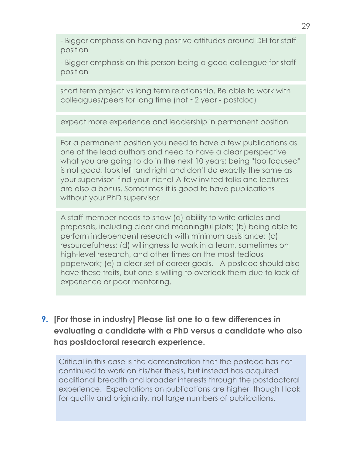- Bigger emphasis on having positive attitudes around DEI for staff position

- Bigger emphasis on this person being a good colleague for staff position

short term project vs long term relationship. Be able to work with colleagues/peers for long time (not ~2 year - postdoc)

expect more experience and leadership in permanent position

For a permanent position you need to have a few publications as one of the lead authors and need to have a clear perspective what you are going to do in the next 10 years; being "too focused" is not good, look left and right and don't do exactly the same as your supervisor- find your niche! A few invited talks and lectures are also a bonus. Sometimes it is good to have publications without your PhD supervisor.

A staff member needs to show (a) ability to write articles and proposals, including clear and meaningful plots; (b) being able to perform independent research with minimum assistance; (c) resourcefulness; (d) willingness to work in a team, sometimes on high-level research, and other times on the most tedious paperwork; (e) a clear set of career goals. A postdoc should also have these traits, but one is willing to overlook them due to lack of experience or poor mentoring.

**9. [For those in industry] Please list one to a few differences in evaluating a candidate with a PhD versus a candidate who also has postdoctoral research experience.**

Critical in this case is the demonstration that the postdoc has not continued to work on his/her thesis, but instead has acquired additional breadth and broader interests through the postdoctoral experience. Expectations on publications are higher, though I look for quality and originality, not large numbers of publications.